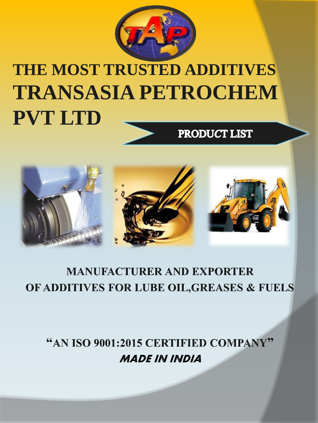

# **THE MOST TRUSTED ADDITIVES TRANSASIA PETROCHEM PVT LTD**PRODUCT LIST



### **MANUFACTURER AND EXPORTER** OF ADDITIVES FOR LUBE OIL, GREASES & FUELS

"AN ISO 9001:2015 CERTIFIED COMPANY" **MADE IN INDIA**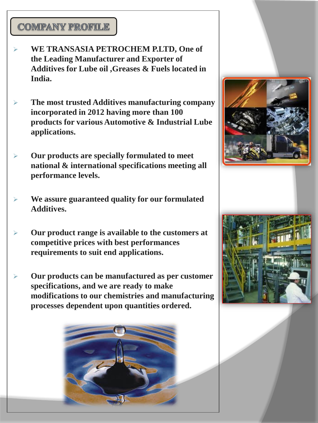#### **COMPANY PROFILE**

- ➢ **WE TRANSASIA PETROCHEM P.LTD, One of the Leading Manufacturer and Exporter of Additives for Lube oil ,Greases & Fuels located in India.**
- ➢ **The most trusted Additives manufacturing company incorporated in 2012 having more than 100 products for various Automotive & Industrial Lube applications.**
- ➢ **Our products are specially formulated to meet national & international specifications meeting all performance levels.**
- ➢ **We assure guaranteed quality for our formulated Additives.**
- ➢ **Our product range is available to the customers at competitive prices with best performances requirements to suit end applications.**
- ➢ **Our products can be manufactured as per customer specifications, and we are ready to make modifications to our chemistries and manufacturing processes dependent upon quantities ordered.**



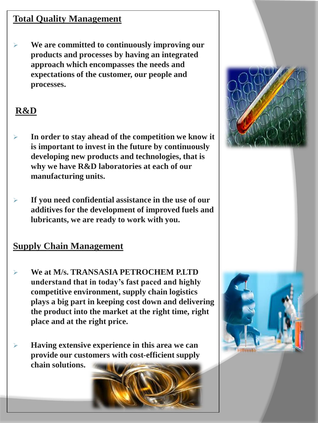#### **Total Quality Management**

➢ **We are committed to continuously improving our products and processes by having an integrated approach which encompasses the needs and expectations of the customer, our people and processes.**

#### **R&D**

- ➢ **In order to stay ahead of the competition we know it is important to invest in the future by continuously developing new products and technologies, that is why we have R&D laboratories at each of our manufacturing units.**
- ➢ **If you need confidential assistance in the use of our additives for the development of improved fuels and lubricants, we are ready to work with you.**

#### **Supply Chain Management**

- ➢ **We at M/s. TRANSASIA PETROCHEM P.LTD understand that in today's fast paced and highly competitive environment, supply chain logistics plays a big part in keeping cost down and delivering the product into the market at the right time, right place and at the right price.**
- ➢ **Having extensive experience in this area we can provide our customers with cost-efficient supply chain solutions.**





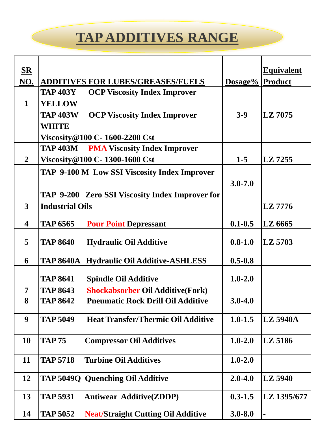## **TAP ADDITIVES RANGE**

| $S_{\mathbf{R}}$        |                                                              |                 | <b>Equivalent</b> |
|-------------------------|--------------------------------------------------------------|-----------------|-------------------|
| NO.                     | <b>ADDITIVES FOR LUBES/GREASES/FUELS</b>                     | Dosage% Product |                   |
|                         | <b>TAP 403Y</b><br><b>OCP Viscosity Index Improver</b>       |                 |                   |
| $\mathbf{1}$            | <b>YELLOW</b>                                                |                 |                   |
|                         | <b>TAP 403W</b><br><b>OCP Viscosity Index Improver</b>       | $3-9$           | LZ 7075           |
|                         | <b>WHITE</b>                                                 |                 |                   |
|                         | <b>Viscosity@100 C- 1600-2200 Cst</b>                        |                 |                   |
|                         | <b>TAP 403M</b> PMA Viscosity Index Improver                 |                 |                   |
| $\overline{2}$          | Viscosity@100 C- 1300-1600 Cst                               | $1-5$           | LZ 7255           |
|                         | TAP 9-100 M Low SSI Viscosity Index Improver                 |                 |                   |
|                         |                                                              | $3.0 - 7.0$     |                   |
|                         | TAP 9-200 Zero SSI Viscosity Index Improver for              |                 |                   |
| 3                       | <b>Industrial Oils</b>                                       |                 | LZ 7776           |
| $\overline{\mathbf{4}}$ | <b>TAP 6565</b><br><b>Pour Point Depressant</b>              | $0.1 - 0.5$     | LZ 6665           |
|                         |                                                              |                 |                   |
| 5                       | <b>TAP 8640</b><br><b>Hydraulic Oil Additive</b>             | $0.8 - 1.0$     | LZ 5703           |
| 6                       | <b>TAP 8640A Hydraulic Oil Additive-ASHLESS</b>              | $0.5 - 0.8$     |                   |
|                         |                                                              |                 |                   |
|                         | <b>TAP 8641</b><br><b>Spindle Oil Additive</b>               | $1.0 - 2.0$     |                   |
| 7                       | <b>TAP 8643</b><br><b>Shockabsorber Oil Additive (Fork)</b>  |                 |                   |
| 8                       | <b>TAP 8642</b><br><b>Pneumatic Rock Drill Oil Additive</b>  | $3.0 - 4.0$     |                   |
| 9                       | <b>TAP 5049</b><br><b>Heat Transfer/Thermic Oil Additive</b> | $1.0 - 1.5$     | <b>LZ 5940A</b>   |
|                         |                                                              |                 |                   |
| 10                      | <b>TAP 75</b><br><b>Compressor Oil Additives</b>             | $1.0 - 2.0$     | LZ 5186           |
| 11                      | <b>Turbine Oil Additives</b><br><b>TAP 5718</b>              | $1.0 - 2.0$     |                   |
| 12                      | TAP 5049Q Quenching Oil Additive                             | $2.0 - 4.0$     | LZ 5940           |
| 13                      | <b>Antiwear Additive(ZDDP)</b><br><b>TAP 5931</b>            | $0.3 - 1.5$     | LZ 1395/677       |
| 14                      | <b>TAP 5052</b><br><b>Neat/Straight Cutting Oil Additive</b> | $3.0 - 8.0$     |                   |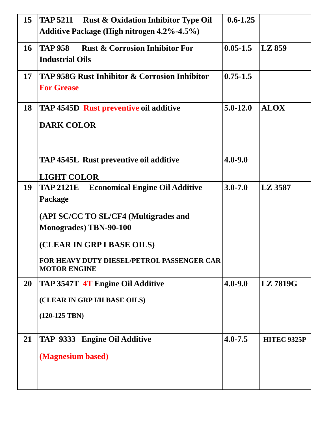| 15 | <b>TAP 5211</b><br><b>Rust &amp; Oxidation Inhibitor Type Oil</b> | $0.6 - 1.25$ |                    |
|----|-------------------------------------------------------------------|--------------|--------------------|
|    | <b>Additive Package (High nitrogen 4.2%-4.5%)</b>                 |              |                    |
| 16 | <b>TAP 958</b><br><b>Rust &amp; Corrosion Inhibitor For</b>       | $0.05 - 1.5$ | LZ 859             |
|    | <b>Industrial Oils</b>                                            |              |                    |
| 17 | <b>TAP 958G Rust Inhibitor &amp; Corrosion Inhibitor</b>          | $0.75 - 1.5$ |                    |
|    | <b>For Grease</b>                                                 |              |                    |
| 18 | <b>TAP 4545D Rust preventive oil additive</b>                     | $5.0 - 12.0$ | <b>ALOX</b>        |
|    | <b>DARK COLOR</b>                                                 |              |                    |
|    |                                                                   |              |                    |
|    |                                                                   |              |                    |
|    | <b>TAP 4545L Rust preventive oil additive</b>                     | $4.0 - 9.0$  |                    |
|    | <b>LIGHT COLOR</b>                                                |              |                    |
| 19 | <b>Economical Engine Oil Additive</b><br><b>TAP 2121E</b>         | $3.0 - 7.0$  | LZ 3587            |
|    | Package                                                           |              |                    |
|    | (API SC/CC TO SL/CF4 (Multigrades and                             |              |                    |
|    | <b>Monogrades</b> ) TBN-90-100                                    |              |                    |
|    | (CLEAR IN GRP I BASE OILS)                                        |              |                    |
|    | FOR HEAVY DUTY DIESEL/PETROL PASSENGER CAR                        |              |                    |
|    | <b>MOTOR ENGINE</b>                                               |              |                    |
| 20 | TAP 3547T 4T Engine Oil Additive                                  | $4.0 - 9.0$  | <b>LZ7819G</b>     |
|    | (CLEAR IN GRP I/II BASE OILS)                                     |              |                    |
|    | $(120-125$ TBN $)$                                                |              |                    |
|    |                                                                   |              |                    |
| 21 | TAP 9333 Engine Oil Additive                                      | $4.0 - 7.5$  | <b>HITEC 9325P</b> |
|    | (Magnesium based)                                                 |              |                    |
|    |                                                                   |              |                    |
|    |                                                                   |              |                    |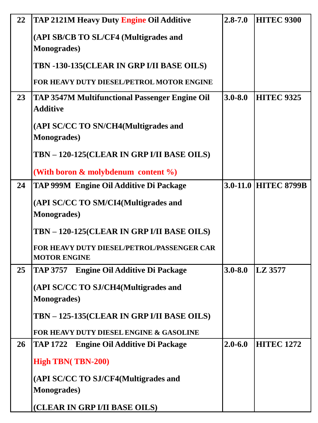| 22        | TAP 2121M Heavy Duty Engine Oil Additive                                 | $2.8 - 7.0$ | <b>HITEC 9300</b>    |
|-----------|--------------------------------------------------------------------------|-------------|----------------------|
|           | (API SB/CB TO SL/CF4 (Multigrades and                                    |             |                      |
|           | <b>Monogrades</b> )                                                      |             |                      |
|           | TBN -130-135(CLEAR IN GRP I/II BASE OILS)                                |             |                      |
|           | <b>FOR HEAVY DUTY DIESEL/PETROL MOTOR ENGINE</b>                         |             |                      |
| 23        | <b>TAP 3547M Multifunctional Passenger Engine Oil</b><br><b>Additive</b> | $3.0 - 8.0$ | <b>HITEC 9325</b>    |
|           | (API SC/CC TO SN/CH4(Multigrades and<br><b>Monogrades</b> )              |             |                      |
|           | TBN - 120-125(CLEAR IN GRP I/II BASE OILS)                               |             |                      |
|           | (With boron $\&$ molybdenum content $\%$ )                               |             |                      |
| 24        | TAP 999M Engine Oil Additive Di Package                                  |             | 3.0-11.0 HITEC 8799B |
|           | (API SC/CC TO SM/CI4(Multigrades and                                     |             |                      |
|           | <b>Monogrades</b> )                                                      |             |                      |
|           | TBN - 120-125(CLEAR IN GRP I/II BASE OILS)                               |             |                      |
|           | <b>FOR HEAVY DUTY DIESEL/PETROL/PASSENGER CAR</b><br><b>MOTOR ENGINE</b> |             |                      |
| 25        | <b>Engine Oil Additive Di Package</b><br><b>TAP 3757</b>                 | $3.0 - 8.0$ | LZ 3577              |
|           | (API SC/CC TO SJ/CH4(Multigrades and                                     |             |                      |
|           | <b>Monogrades</b> )                                                      |             |                      |
|           | TBN - 125-135(CLEAR IN GRP I/II BASE OILS)                               |             |                      |
|           | <b>FOR HEAVY DUTY DIESEL ENGINE &amp; GASOLINE</b>                       |             |                      |
| <b>26</b> | TAP 1722 Engine Oil Additive Di Package                                  | $2.0 - 6.0$ | <b>HITEC 1272</b>    |
|           | <b>High TBN(TBN-200)</b>                                                 |             |                      |
|           | (API SC/CC TO SJ/CF4(Multigrades and<br><b>Monogrades</b> )              |             |                      |
|           | (CLEAR IN GRP I/II BASE OILS)                                            |             |                      |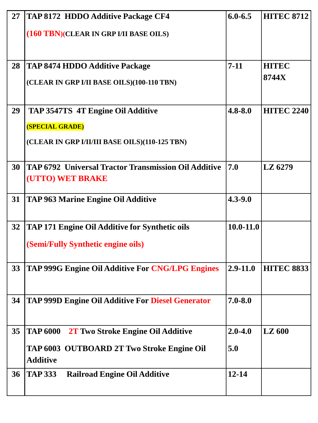| 27 | TAP 8172 HDDO Additive Package CF4                            | $6.0 - 6.5$   | <b>HITEC 8712</b> |
|----|---------------------------------------------------------------|---------------|-------------------|
|    | (160 TBN)(CLEAR IN GRP I/II BASE OILS)                        |               |                   |
|    |                                                               |               |                   |
| 28 | <b>TAP 8474 HDDO Additive Package</b>                         | $7 - 11$      | <b>HITEC</b>      |
|    | (CLEAR IN GRP I/II BASE OILS)(100-110 TBN)                    |               | 8744X             |
| 29 | TAP 3547TS 4T Engine Oil Additive                             | $4.8 - 8.0$   | <b>HITEC 2240</b> |
|    | <b>(SPECIAL GRADE)</b>                                        |               |                   |
|    | (CLEAR IN GRP I/II/III BASE OILS)(110-125 TBN)                |               |                   |
| 30 | TAP 6792 Universal Tractor Transmission Oil Additive          | 7.0           | LZ 6279           |
|    | (UTTO) WET BRAKE                                              |               |                   |
| 31 | <b>TAP 963 Marine Engine Oil Additive</b>                     | $4.3 - 9.0$   |                   |
|    |                                                               |               |                   |
| 32 | <b>TAP 171 Engine Oil Additive for Synthetic oils</b>         | $10.0 - 11.0$ |                   |
|    | (Semi/Fully Synthetic engine oils)                            |               |                   |
| 33 | TAP 999G Engine Oil Additive For CNG/LPG Engines              | $2.9 - 11.0$  | <b>HITEC 8833</b> |
|    |                                                               |               |                   |
| 34 | <b>TAP 999D Engine Oil Additive For Diesel Generator</b>      | $7.0 - 8.0$   |                   |
|    |                                                               |               |                   |
| 35 | <b>TAP 6000</b><br>2T Two Stroke Engine Oil Additive          | $2.0 - 4.0$   | <b>LZ</b> 600     |
|    | TAP 6003 OUTBOARD 2T Two Stroke Engine Oil<br><b>Additive</b> | 5.0           |                   |
| 36 | <b>TAP 333</b><br><b>Railroad Engine Oil Additive</b>         | $12 - 14$     |                   |
|    |                                                               |               |                   |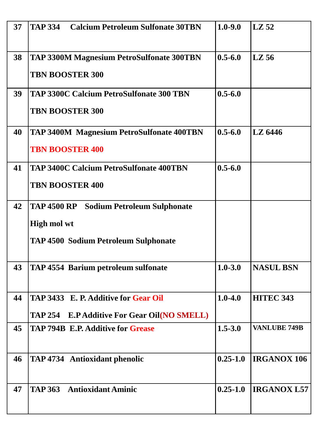| 37 | <b>TAP 334</b><br><b>Calcium Petroleum Sulfonate 30TBN</b>                                                          | $1.0 - 9.0$  | $\lfloor$ LZ 52     |
|----|---------------------------------------------------------------------------------------------------------------------|--------------|---------------------|
| 38 | <b>TAP 3300M Magnesium PetroSulfonate 300TBN</b><br><b>TBN BOOSTER 300</b>                                          | $0.5 - 6.0$  | $LZ$ 56             |
| 39 | <b>TAP 3300C Calcium PetroSulfonate 300 TBN</b><br><b>TBN BOOSTER 300</b>                                           | $0.5 - 6.0$  |                     |
| 40 | <b>TAP 3400M Magnesium PetroSulfonate 400TBN</b><br><b>TBN BOOSTER 400</b>                                          | $0.5 - 6.0$  | LZ 6446             |
| 41 | <b>TAP 3400C Calcium PetroSulfonate 400TBN</b><br><b>TBN BOOSTER 400</b>                                            | $0.5 - 6.0$  |                     |
| 42 | <b>TAP 4500 RP</b> Sodium Petroleum Sulphonate<br><b>High mol wt</b><br><b>TAP 4500 Sodium Petroleum Sulphonate</b> |              |                     |
| 43 | <b>TAP 4554 Barium petroleum sulfonate</b>                                                                          | $1.0 - 3.0$  | <b>NASUL BSN</b>    |
| 44 | TAP 3433 E. P. Additive for Gear Oil<br>TAP 254 E.P Additive For Gear Oil(NO SMELL)                                 | $1.0 - 4.0$  | HITEC 343           |
| 45 | <b>TAP 794B E.P. Additive for Grease</b>                                                                            | $1.5 - 3.0$  | <b>VANLUBE 749B</b> |
| 46 | <b>TAP 4734 Antioxidant phenolic</b>                                                                                | $0.25 - 1.0$ | <b>IRGANOX 106</b>  |
| 47 | <b>TAP 363 Antioxidant Aminic</b>                                                                                   | $0.25 - 1.0$ | <b>IRGANOX L57</b>  |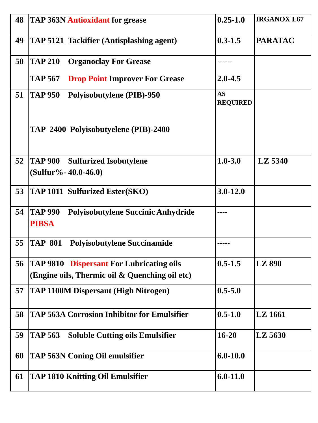| 48 | <b>TAP 363N Antioxidant for grease</b>                                                            | $0.25 - 1.0$                 | <b>IRGANOX L67</b> |
|----|---------------------------------------------------------------------------------------------------|------------------------------|--------------------|
| 49 | TAP 5121 Tackifier (Antisplashing agent)                                                          | $0.3 - 1.5$                  | <b>PARATAC</b>     |
| 50 | <b>Organoclay For Grease</b><br><b>TAP 210</b>                                                    |                              |                    |
|    | <b>TAP 567</b><br><b>Drop Point Improver For Grease</b>                                           | $2.0 - 4.5$                  |                    |
| 51 | <b>TAP 950</b><br><b>Polyisobutylene (PIB)-950</b>                                                | <b>AS</b><br><b>REQUIRED</b> |                    |
|    | TAP 2400 Polyisobutyelene (PIB)-2400                                                              |                              |                    |
| 52 | <b>TAP 900</b><br><b>Sulfurized Isobutylene</b><br>$(Sulfur% - 40.0-46.0)$                        | $1.0 - 3.0$                  | LZ 5340            |
| 53 | <b>TAP 1011 Sulfurized Ester(SKO)</b>                                                             | $3.0 - 12.0$                 |                    |
| 54 | Polyisobutylene Succinic Anhydride<br><b>TAP 990</b><br><b>PIBSA</b>                              |                              |                    |
| 55 | <b>Polyisobutylene Succinamide</b><br><b>TAP 801</b>                                              |                              |                    |
| 56 | <b>TAP 9810 Dispersant For Lubricating oils</b><br>(Engine oils, Thermic oil & Quenching oil etc) | $0.5 - 1.5$                  | <b>LZ 890</b>      |
| 57 | <b>TAP 1100M Dispersant (High Nitrogen)</b>                                                       | $0.5 - 5.0$                  |                    |
| 58 | <b>TAP 563A Corrosion Inhibitor for Emulsifier</b>                                                | $0.5 - 1.0$                  | LZ 1661            |
| 59 | <b>Soluble Cutting oils Emulsifier</b><br><b>TAP 563</b>                                          | $16 - 20$                    | LZ 5630            |
| 60 | <b>TAP 563N Coning Oil emulsifier</b>                                                             | $6.0 - 10.0$                 |                    |
| 61 | <b>TAP 1810 Knitting Oil Emulsifier</b>                                                           | $6.0 - 11.0$                 |                    |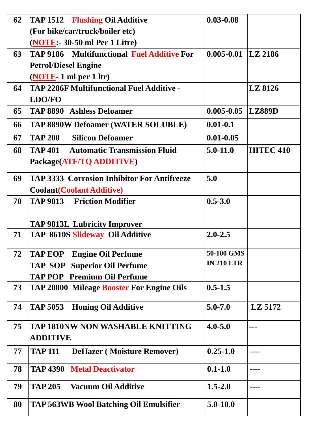| 62 | <b>TAP 1512 Flushing Oil Additive</b>                                                  | $0.03 - 0.08$          |                  |
|----|----------------------------------------------------------------------------------------|------------------------|------------------|
|    | (For bike/car/truck/boiler etc)                                                        |                        |                  |
|    | (NOTE:- 30-50 ml Per 1 Litre)                                                          |                        |                  |
| 63 | TAP 9186 Multifunctional Fuel Additive For                                             | $0.005 - 0.01$ LZ 2186 |                  |
|    | <b>Petrol/Diesel Engine</b>                                                            |                        |                  |
|    | $(NOTE - 1 ml per 1 ltr)$                                                              |                        |                  |
| 64 | <b>TAP 2286F Multifunctional Fuel Additive -</b>                                       |                        | LZ 8126          |
|    | <b>LDO/FO</b>                                                                          |                        |                  |
| 65 | <b>TAP 8890 Ashless Defoamer</b>                                                       | $0.005 - 0.05$         | LZ889D           |
| 66 | <b>TAP 8890W Defoamer (WATER SOLUBLE)</b>                                              | $0.01 - 0.1$           |                  |
| 67 | <b>TAP 200</b><br><b>Silicon Defoamer</b>                                              | $0.01 - 0.05$          |                  |
| 68 | <b>TAP 401</b><br><b>Automatic Transmission Fluid</b>                                  | $5.0 - 11.0$           | <b>HITEC 410</b> |
|    | Package(ATF/TQ ADDITIVE)                                                               |                        |                  |
| 69 | <b>TAP 3333 Corrosion Inhibitor For Antifreeze</b>                                     | 5.0                    |                  |
|    | <b>Coolant (Coolant Additive)</b>                                                      |                        |                  |
| 70 | <b>TAP 9813 Friction Modifier</b>                                                      | $0.5 - 3.0$            |                  |
|    |                                                                                        |                        |                  |
|    | <b>TAP 9813L Lubricity Improver</b>                                                    |                        |                  |
| 71 | TAP 8610S Slideway Oil Additive                                                        | $2.0 - 2.5$            |                  |
|    |                                                                                        | 50-100 GMS             |                  |
| 72 | <b>TAP EOP</b> Engine Oil Perfume                                                      | <b>IN 210 LTR</b>      |                  |
|    | <b>TAP SOP Superior Oil Perfume</b>                                                    |                        |                  |
| 73 | <b>TAP POP</b> Premium Oil Perfume<br><b>TAP 20000 Mileage Booster For Engine Oils</b> | $0.5 - 1.5$            |                  |
|    |                                                                                        |                        |                  |
| 74 | <b>TAP 5053</b><br><b>Honing Oil Additive</b>                                          | $5.0 - 7.0$            | LZ 5172          |
|    |                                                                                        |                        |                  |
| 75 | <b>TAP 1810NW NON WASHABLE KNITTING</b>                                                | $4.0 - 5.0$            |                  |
|    | <b>ADDITIVE</b>                                                                        |                        |                  |
| 77 | <b>DeHazer (Moisture Remover)</b><br><b>TAP 111</b>                                    | $0.25 - 1.0$           |                  |
| 78 | <b>Metal Deactivator</b><br><b>TAP 4390</b>                                            | $0.1 - 1.0$            |                  |
|    |                                                                                        |                        |                  |
| 79 | <b>TAP 205</b><br><b>Vacuum Oil Additive</b>                                           | $1.5 - 2.0$            |                  |
| 80 | <b>TAP 563WB Wool Batching Oil Emulsifier</b>                                          | $5.0 - 10.0$           |                  |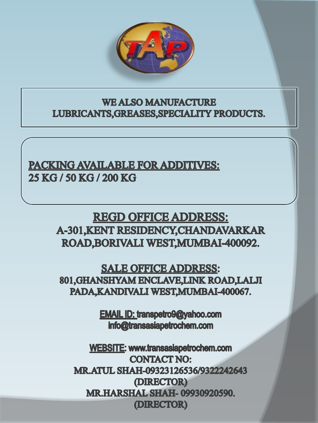

**WE ALSO MANUFACTURE** LUBRICANTS, GREASES, SPECIALITY PRODUCTS.

**PACKING AVAILABLE FOR ADDITIVES:** 25 KG / 50 KG / 200 KG

> **REGD OFFICE ADDRESS: A-301, KENT RESIDENCY, CHANDAVARKAR** ROAD, BORIVALI WEST, MUMBAI-400092.

**SALE OFFICE ADDRESS:** 801, GHANSHYAM ENCLAVE, LINK ROAD, LALJI PADA, KANDIVALI WEST, MUMBAI-400067.

> **EMAIL ID: transpetro9@yahoo.com** info@transasiapetrochem.com

WEBSITE: www.transasiapetrochem.com **CONTACT NO:** MR.ATUL SHAH-09323126536/9322242643 (DIRECTOR) **MR.HARSHAL SHAH-09930920590.** (DIRECTOR)